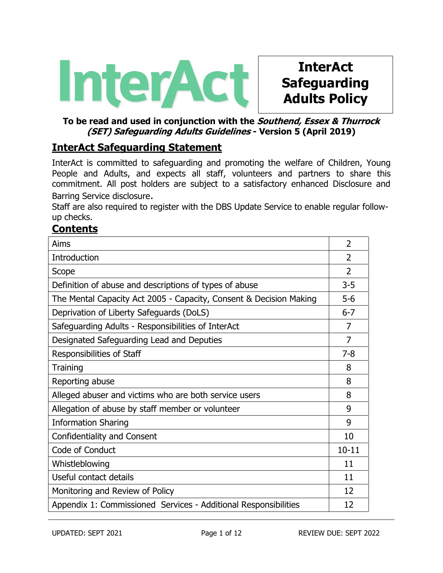

# **InterAct Safeguarding Adults Policy**

## **To be read and used in conjunction with the Southend, Essex & Thurrock (SET) Safeguarding Adults Guidelines - Version 5 (April 2019)**

# **InterAct Safeguarding Statement**

InterAct is committed to safeguarding and promoting the welfare of Children, Young People and Adults, and expects all staff, volunteers and partners to share this commitment. All post holders are subject to a satisfactory enhanced Disclosure and Barring Service disclosure.

Staff are also required to register with the DBS Update Service to enable regular followup checks.

# **Contents**

| Aims                                                               | $\overline{2}$ |  |
|--------------------------------------------------------------------|----------------|--|
| Introduction                                                       | $\overline{2}$ |  |
| Scope                                                              |                |  |
| Definition of abuse and descriptions of types of abuse             |                |  |
| The Mental Capacity Act 2005 - Capacity, Consent & Decision Making |                |  |
| Deprivation of Liberty Safeguards (DoLS)                           | $6 - 7$        |  |
| Safeguarding Adults - Responsibilities of InterAct                 |                |  |
| Designated Safeguarding Lead and Deputies                          |                |  |
| Responsibilities of Staff                                          |                |  |
| Training                                                           |                |  |
| Reporting abuse                                                    |                |  |
| Alleged abuser and victims who are both service users              |                |  |
| Allegation of abuse by staff member or volunteer                   |                |  |
| <b>Information Sharing</b>                                         |                |  |
| <b>Confidentiality and Consent</b>                                 |                |  |
| Code of Conduct                                                    |                |  |
| Whistleblowing                                                     | 11             |  |
| Useful contact details                                             | 11             |  |
| Monitoring and Review of Policy                                    | 12             |  |
| Appendix 1: Commissioned Services - Additional Responsibilities    |                |  |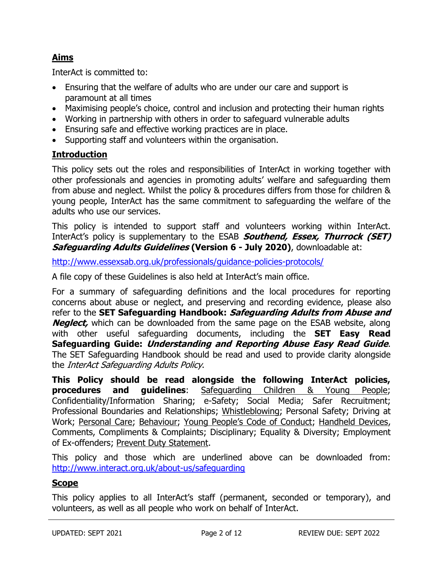# **Aims**

InterAct is committed to:

- Ensuring that the welfare of adults who are under our care and support is paramount at all times
- Maximising people's choice, control and inclusion and protecting their human rights
- Working in partnership with others in order to safeguard vulnerable adults
- Ensuring safe and effective working practices are in place.
- Supporting staff and volunteers within the organisation.

#### **Introduction**

This policy sets out the roles and responsibilities of InterAct in working together with other professionals and agencies in promoting adults' welfare and safeguarding them from abuse and neglect. Whilst the policy & procedures differs from those for children & young people, InterAct has the same commitment to safeguarding the welfare of the adults who use our services.

This policy is intended to support staff and volunteers working within InterAct. InterAct's policy is supplementary to the ESAB **Southend, Essex, Thurrock (SET) Safeguarding Adults Guidelines (Version 6 - July 2020)**, downloadable at:

<http://www.essexsab.org.uk/professionals/guidance-policies-protocols/>

A file copy of these Guidelines is also held at InterAct's main office.

For a summary of safeguarding definitions and the local procedures for reporting concerns about abuse or neglect, and preserving and recording evidence, please also refer to the **SET Safeguarding Handbook: Safeguarding Adults from Abuse and Neglect**, which can be downloaded from the same page on the ESAB website, along with other useful safeguarding documents, including the **SET Easy Read Safeguarding Guide: Understanding and Reporting Abuse Easy Read Guide**. The SET Safeguarding Handbook should be read and used to provide clarity alongside the InterAct Safeguarding Adults Policy.

**This Policy should be read alongside the following InterAct policies, procedures and guidelines**: Safeguarding Children & Young People; Confidentiality/Information Sharing; e-Safety; Social Media; Safer Recruitment; Professional Boundaries and Relationships; Whistleblowing; Personal Safety; Driving at Work; Personal Care; Behaviour; Young People's Code of Conduct; Handheld Devices, Comments, Compliments & Complaints; Disciplinary; Equality & Diversity; Employment of Ex-offenders; Prevent Duty Statement.

This policy and those which are underlined above can be downloaded from: <http://www.interact.org.uk/about-us/safeguarding>

#### **Scope**

This policy applies to all InterAct's staff (permanent, seconded or temporary), and volunteers, as well as all people who work on behalf of InterAct.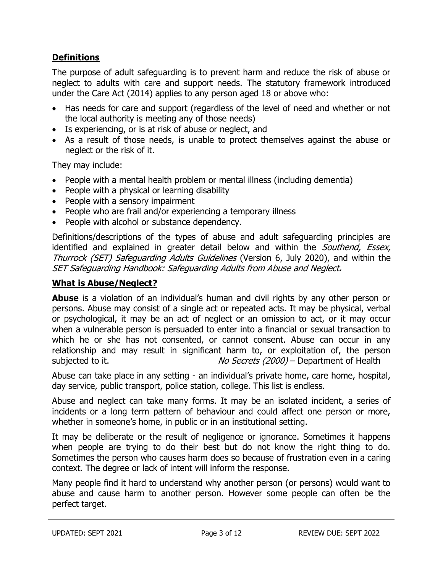# **Definitions**

The purpose of adult safeguarding is to prevent harm and reduce the risk of abuse or neglect to adults with care and support needs. The statutory framework introduced under the Care Act (2014) applies to any person aged 18 or above who:

- Has needs for care and support (regardless of the level of need and whether or not the local authority is meeting any of those needs)
- Is experiencing, or is at risk of abuse or neglect, and
- As a result of those needs, is unable to protect themselves against the abuse or neglect or the risk of it.

They may include:

- People with a mental health problem or mental illness (including dementia)
- People with a physical or learning disability
- People with a sensory impairment
- People who are frail and/or experiencing a temporary illness
- People with alcohol or substance dependency.

Definitions/descriptions of the types of abuse and adult safeguarding principles are identified and explained in greater detail below and within the Southend, Essex, Thurrock (SET) Safeguarding Adults Guidelines (Version 6, July 2020), and within the SET Safeguarding Handbook: Safeguarding Adults from Abuse and Neglect**.** 

#### **What is Abuse/Neglect?**

**Abuse** is a violation of an individual's human and civil rights by any other person or persons. Abuse may consist of a single act or repeated acts. It may be physical, verbal or psychological, it may be an act of neglect or an omission to act, or it may occur when a vulnerable person is persuaded to enter into a financial or sexual transaction to which he or she has not consented, or cannot consent. Abuse can occur in any relationship and may result in significant harm to, or exploitation of, the person subjected to it.  $\frac{N}{C}$  No Secrets (2000) – Department of Health

Abuse can take place in any setting - an individual's private home, care home, hospital, day service, public transport, police station, college. This list is endless.

Abuse and neglect can take many forms. It may be an isolated incident, a series of incidents or a long term pattern of behaviour and could affect one person or more, whether in someone's home, in public or in an institutional setting.

It may be deliberate or the result of negligence or ignorance. Sometimes it happens when people are trying to do their best but do not know the right thing to do. Sometimes the person who causes harm does so because of frustration even in a caring context. The degree or lack of intent will inform the response.

Many people find it hard to understand why another person (or persons) would want to abuse and cause harm to another person. However some people can often be the perfect target.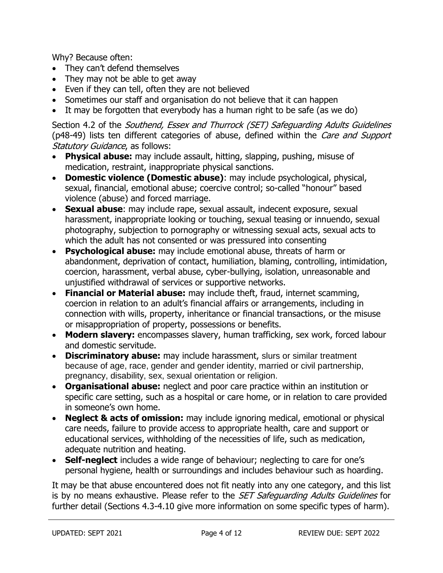Why? Because often:

- They can't defend themselves
- They may not be able to get away
- Even if they can tell, often they are not believed
- Sometimes our staff and organisation do not believe that it can happen
- It may be forgotten that everybody has a human right to be safe (as we do)

Section 4.2 of the *Southend, Essex and Thurrock (SET) Safeguarding Adults Guidelines* (p48-49) lists ten different categories of abuse, defined within the *Care and Support* Statutory Guidance, as follows:

- **Physical abuse:** may include assault, hitting, slapping, pushing, misuse of medication, restraint, inappropriate physical sanctions.
- **Domestic violence (Domestic abuse)**: may include psychological, physical, sexual, financial, emotional abuse; coercive control; so-called "honour" based violence (abuse) and forced marriage.
- **Sexual abuse**: may include rape, sexual assault, indecent exposure, sexual harassment, inappropriate looking or touching, sexual teasing or innuendo, sexual photography, subjection to pornography or witnessing sexual acts, sexual acts to which the adult has not consented or was pressured into consenting
- **Psychological abuse:** may include emotional abuse, threats of harm or abandonment, deprivation of contact, humiliation, blaming, controlling, intimidation, coercion, harassment, verbal abuse, cyber-bullying, isolation, unreasonable and unjustified withdrawal of services or supportive networks.
- **Financial or Material abuse:** may include theft, fraud, internet scamming, coercion in relation to an adult's financial affairs or arrangements, including in connection with wills, property, inheritance or financial transactions, or the misuse or misappropriation of property, possessions or benefits.
- **Modern slavery:** encompasses slavery, human trafficking, sex work, forced labour and domestic servitude.
- **Discriminatory abuse:** may include harassment, slurs or similar treatment because of age, race, gender and gender identity, married or civil partnership, pregnancy, disability, sex, sexual orientation or religion.
- **Organisational abuse:** neglect and poor care practice within an institution or specific care setting, such as a hospital or care home, or in relation to care provided in someone's own home.
- **Neglect & acts of omission:** may include ignoring medical, emotional or physical care needs, failure to provide access to appropriate health, care and support or educational services, withholding of the necessities of life, such as medication, adequate nutrition and heating.
- **Self-neglect** includes a wide range of behaviour; neglecting to care for one's personal hygiene, health or surroundings and includes behaviour such as hoarding.

It may be that abuse encountered does not fit neatly into any one category, and this list is by no means exhaustive. Please refer to the *SET Safeguarding Adults Guidelines* for further detail (Sections 4.3-4.10 give more information on some specific types of harm).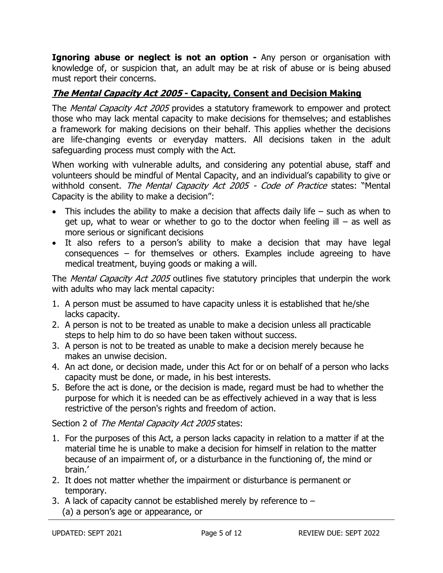**Ignoring abuse or neglect is not an option -** Any person or organisation with knowledge of, or suspicion that, an adult may be at risk of abuse or is being abused must report their concerns.

# **The Mental Capacity Act 2005 - Capacity, Consent and Decision Making**

The *Mental Capacity Act 2005* provides a statutory framework to empower and protect those who may lack mental capacity to make decisions for themselves; and establishes a framework for making decisions on their behalf. This applies whether the decisions are life-changing events or everyday matters. All decisions taken in the adult safeguarding process must comply with the Act.

When working with vulnerable adults, and considering any potential abuse, staff and volunteers should be mindful of Mental Capacity, and an individual's capability to give or withhold consent. The Mental Capacity Act 2005 - Code of Practice states: "Mental Capacity is the ability to make a decision":

- This includes the ability to make a decision that affects daily life such as when to get up, what to wear or whether to go to the doctor when feeling ill  $-$  as well as more serious or significant decisions
- It also refers to a person's ability to make a decision that may have legal consequences – for themselves or others. Examples include agreeing to have medical treatment, buying goods or making a will.

The *Mental Capacity Act 2005* outlines five statutory principles that underpin the work with adults who may lack mental capacity:

- 1. A person must be assumed to have capacity unless it is established that he/she lacks capacity.
- 2. A person is not to be treated as unable to make a decision unless all practicable steps to help him to do so have been taken without success.
- 3. A person is not to be treated as unable to make a decision merely because he makes an unwise decision.
- 4. An act done, or decision made, under this Act for or on behalf of a person who lacks capacity must be done, or made, in his best interests.
- 5. Before the act is done, or the decision is made, regard must be had to whether the purpose for which it is needed can be as effectively achieved in a way that is less restrictive of the person's rights and freedom of action.

Section 2 of The Mental Capacity Act 2005 states:

- 1. For the purposes of this Act, a person lacks capacity in relation to a matter if at the material time he is unable to make a decision for himself in relation to the matter because of an impairment of, or a disturbance in the functioning of, the mind or brain.'
- 2. It does not matter whether the impairment or disturbance is permanent or temporary.
- 3. A lack of capacity cannot be established merely by reference to  $-$ (a) a person's age or appearance, or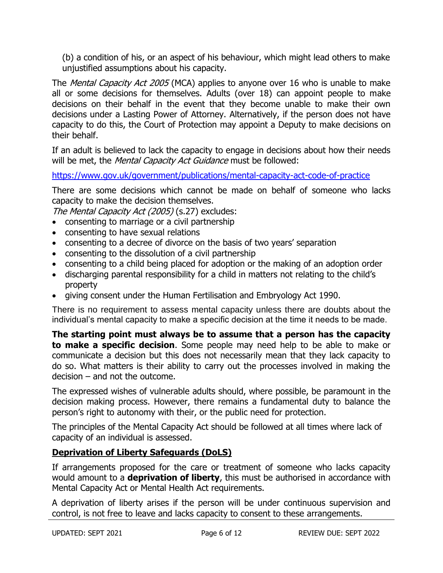(b) a condition of his, or an aspect of his behaviour, which might lead others to make unjustified assumptions about his capacity.

The *Mental Capacity Act 2005* (MCA) applies to anyone over 16 who is unable to make all or some decisions for themselves. Adults (over 18) can appoint people to make decisions on their behalf in the event that they become unable to make their own decisions under a Lasting Power of Attorney. Alternatively, if the person does not have capacity to do this, the Court of Protection may appoint a Deputy to make decisions on their behalf.

If an adult is believed to lack the capacity to engage in decisions about how their needs will be met, the Mental Capacity Act Guidance must be followed:

<https://www.gov.uk/government/publications/mental-capacity-act-code-of-practice>

There are some decisions which cannot be made on behalf of someone who lacks capacity to make the decision themselves.

The Mental Capacity Act (2005) (s.27) excludes:

- consenting to marriage or a civil partnership
- consenting to have sexual relations
- consenting to a decree of divorce on the basis of two years' separation
- consenting to the dissolution of a civil partnership
- consenting to a child being placed for adoption or the making of an adoption order
- discharging parental responsibility for a child in matters not relating to the child's property
- giving consent under the Human Fertilisation and Embryology Act 1990.

There is no requirement to assess mental capacity unless there are doubts about the individual's mental capacity to make a specific decision at the time it needs to be made.

**The starting point must always be to assume that a person has the capacity to make a specific decision**. Some people may need help to be able to make or communicate a decision but this does not necessarily mean that they lack capacity to do so. What matters is their ability to carry out the processes involved in making the decision – and not the outcome.

The expressed wishes of vulnerable adults should, where possible, be paramount in the decision making process. However, there remains a fundamental duty to balance the person's right to autonomy with their, or the public need for protection.

The principles of the Mental Capacity Act should be followed at all times where lack of capacity of an individual is assessed.

# **Deprivation of Liberty Safeguards (DoLS)**

If arrangements proposed for the care or treatment of someone who lacks capacity would amount to a **deprivation of liberty**, this must be authorised in accordance with Mental Capacity Act or Mental Health Act requirements.

A deprivation of liberty arises if the person will be under continuous supervision and control, is not free to leave and lacks capacity to consent to these arrangements.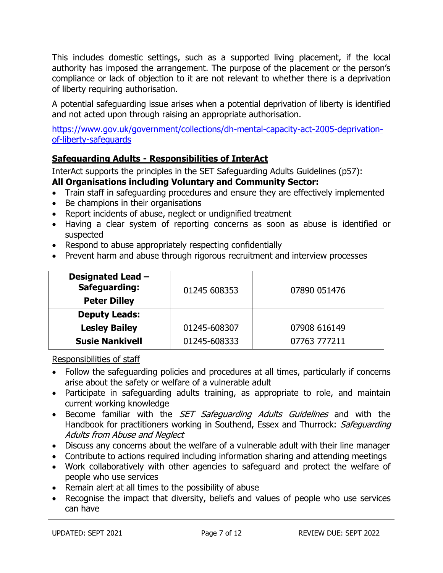This includes domestic settings, such as a supported living placement, if the local authority has imposed the arrangement. The purpose of the placement or the person's compliance or lack of objection to it are not relevant to whether there is a deprivation of liberty requiring authorisation.

A potential safeguarding issue arises when a potential deprivation of liberty is identified and not acted upon through raising an appropriate authorisation.

[https://www.gov.uk/government/collections/dh-mental-capacity-act-2005-deprivation](https://www.gov.uk/government/collections/dh-mental-capacity-act-2005-deprivation-of-liberty-safeguards)[of-liberty-safeguards](https://www.gov.uk/government/collections/dh-mental-capacity-act-2005-deprivation-of-liberty-safeguards)

# **Safeguarding Adults - Responsibilities of InterAct**

InterAct supports the principles in the SET Safeguarding Adults Guidelines (p57):

# **All Organisations including Voluntary and Community Sector:**

- Train staff in safeguarding procedures and ensure they are effectively implemented
- Be champions in their organisations
- Report incidents of abuse, neglect or undignified treatment
- Having a clear system of reporting concerns as soon as abuse is identified or suspected
- Respond to abuse appropriately respecting confidentially
- Prevent harm and abuse through rigorous recruitment and interview processes

| Designated Lead -<br><b>Safeguarding:</b><br><b>Peter Dilley</b> | 01245 608353 | 07890 051476 |
|------------------------------------------------------------------|--------------|--------------|
| <b>Deputy Leads:</b>                                             |              |              |
| <b>Lesley Bailey</b>                                             | 01245-608307 | 07908 616149 |
| <b>Susie Nankivell</b>                                           | 01245-608333 | 07763 777211 |

Responsibilities of staff

- Follow the safeguarding policies and procedures at all times, particularly if concerns arise about the safety or welfare of a vulnerable adult
- Participate in safeguarding adults training, as appropriate to role, and maintain current working knowledge
- Become familiar with the *SET Safeguarding Adults Guidelines* and with the Handbook for practitioners working in Southend, Essex and Thurrock: Safeguarding Adults from Abuse and Neglect
- Discuss any concerns about the welfare of a vulnerable adult with their line manager
- Contribute to actions required including information sharing and attending meetings
- Work collaboratively with other agencies to safeguard and protect the welfare of people who use services
- Remain alert at all times to the possibility of abuse
- Recognise the impact that diversity, beliefs and values of people who use services can have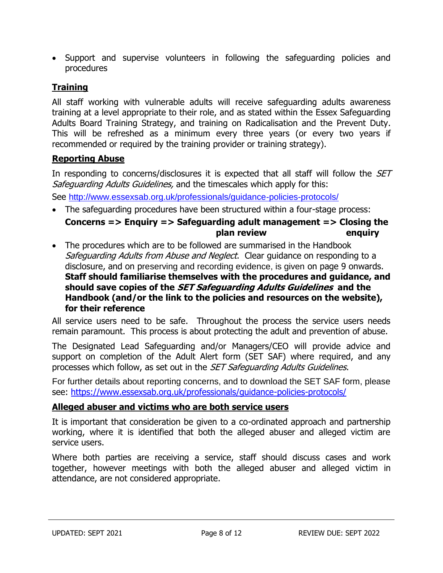Support and supervise volunteers in following the safeguarding policies and procedures

# **Training**

All staff working with vulnerable adults will receive safeguarding adults awareness training at a level appropriate to their role, and as stated within the Essex Safeguarding Adults Board Training Strategy, and training on Radicalisation and the Prevent Duty. This will be refreshed as a minimum every three years (or every two years if recommended or required by the training provider or training strategy).

#### **Reporting Abuse**

In responding to concerns/disclosures it is expected that all staff will follow the *SET* Safeguarding Adults Guidelines, and the timescales which apply for this:

See <http://www.essexsab.org.uk/professionals/guidance-policies-protocols/>

- The safeguarding procedures have been structured within a four-stage process: **Concerns => Enquiry => Safeguarding adult management => Closing the plan review enquiry**
- The procedures which are to be followed are summarised in the Handbook Safeguarding Adults from Abuse and Neglect. Clear quidance on responding to a disclosure, and on preserving and recording evidence, is given on page 9 onwards. **Staff should familiarise themselves with the procedures and guidance, and should save copies of the SET Safeguarding Adults Guidelines and the Handbook (and/or the link to the policies and resources on the website), for their reference**

All service users need to be safe. Throughout the process the service users needs remain paramount. This process is about protecting the adult and prevention of abuse.

The Designated Lead Safeguarding and/or Managers/CEO will provide advice and support on completion of the Adult Alert form (SET SAF) where required, and any processes which follow, as set out in the *SET Safeguarding Adults Guidelines*.

For further details about reporting concerns, and to download the SET SAF form, please see:<https://www.essexsab.org.uk/professionals/guidance-policies-protocols/>

#### **Alleged abuser and victims who are both service users**

It is important that consideration be given to a co-ordinated approach and partnership working, where it is identified that both the alleged abuser and alleged victim are service users.

Where both parties are receiving a service, staff should discuss cases and work together, however meetings with both the alleged abuser and alleged victim in attendance, are not considered appropriate.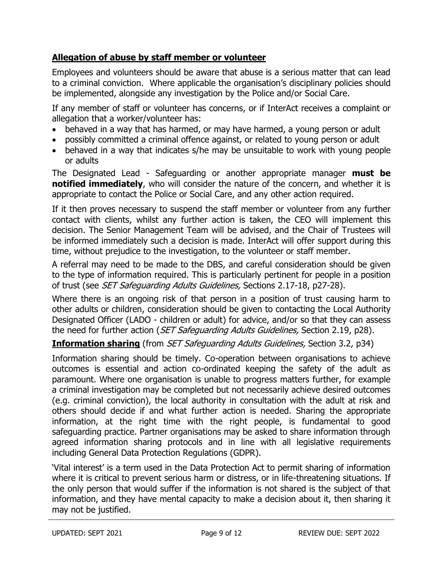# **Allegation of abuse by staff member or volunteer**

Employees and volunteers should be aware that abuse is a serious matter that can lead to a criminal conviction. Where applicable the organisation's disciplinary policies should be implemented, alongside any investigation by the Police and/or Social Care.

If any member of staff or volunteer has concerns, or if InterAct receives a complaint or allegation that a worker/volunteer has:

- behaved in a way that has harmed, or may have harmed, a young person or adult
- possibly committed a criminal offence against, or related to young person or adult
- behaved in a way that indicates s/he may be unsuitable to work with young people or adults

The Designated Lead - Safeguarding or another appropriate manager **must be notified immediately**, who will consider the nature of the concern, and whether it is appropriate to contact the Police or Social Care, and any other action required.

If it then proves necessary to suspend the staff member or volunteer from any further contact with clients, whilst any further action is taken, the CEO will implement this decision. The Senior Management Team will be advised, and the Chair of Trustees will be informed immediately such a decision is made. InterAct will offer support during this time, without prejudice to the investigation, to the volunteer or staff member.

A referral may need to be made to the DBS, and careful consideration should be given to the type of information required. This is particularly pertinent for people in a position of trust (see *SET Safequarding Adults Guidelines*, Sections 2.17-18, p27-28).

Where there is an ongoing risk of that person in a position of trust causing harm to other adults or children, consideration should be given to contacting the Local Authority Designated Officer (LADO - children or adult) for advice, and/or so that they can assess the need for further action (SET Safeguarding Adults Guidelines, Section 2.19, p28).

**Information sharing** (from *SET Safeguarding Adults Guidelines*, Section 3.2, p34)

Information sharing should be timely. Co-operation between organisations to achieve outcomes is essential and action co-ordinated keeping the safety of the adult as paramount. Where one organisation is unable to progress matters further, for example a criminal investigation may be completed but not necessarily achieve desired outcomes (e.g. criminal conviction), the local authority in consultation with the adult at risk and others should decide if and what further action is needed. Sharing the appropriate information, at the right time with the right people, is fundamental to good safeguarding practice. Partner organisations may be asked to share information through agreed information sharing protocols and in line with all legislative requirements including General Data Protection Regulations (GDPR).

'Vital interest' is a term used in the Data Protection Act to permit sharing of information where it is critical to prevent serious harm or distress, or in life-threatening situations. If the only person that would suffer if the information is not shared is the subject of that information, and they have mental capacity to make a decision about it, then sharing it may not be justified.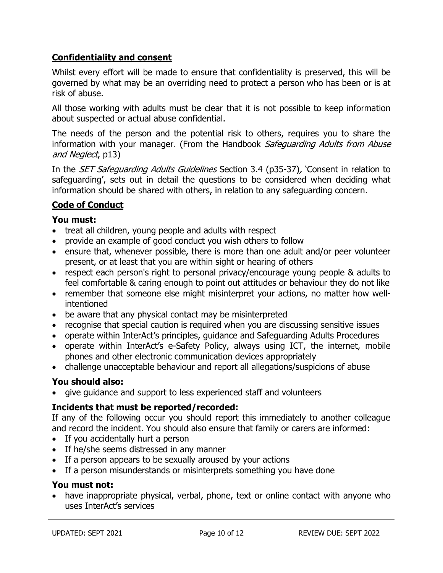# **Confidentiality and consent**

Whilst every effort will be made to ensure that confidentiality is preserved, this will be governed by what may be an overriding need to protect a person who has been or is at risk of abuse.

All those working with adults must be clear that it is not possible to keep information about suspected or actual abuse confidential.

The needs of the person and the potential risk to others, requires you to share the information with your manager. (From the Handbook Safeguarding Adults from Abuse and Neglect, p13)

In the *SET Safeguarding Adults Guidelines* Section 3.4 (p35-37), 'Consent in relation to safeguarding', sets out in detail the questions to be considered when deciding what information should be shared with others, in relation to any safeguarding concern.

# **Code of Conduct**

## **You must:**

- treat all children, young people and adults with respect
- provide an example of good conduct you wish others to follow
- ensure that, whenever possible, there is more than one adult and/or peer volunteer present, or at least that you are within sight or hearing of others
- respect each person's right to personal privacy/encourage young people & adults to feel comfortable & caring enough to point out attitudes or behaviour they do not like
- remember that someone else might misinterpret your actions, no matter how wellintentioned
- be aware that any physical contact may be misinterpreted
- recognise that special caution is required when you are discussing sensitive issues
- operate within InterAct's principles, guidance and Safeguarding Adults Procedures
- operate within InterAct's e-Safety Policy, always using ICT, the internet, mobile phones and other electronic communication devices appropriately
- challenge unacceptable behaviour and report all allegations/suspicions of abuse

#### **You should also:**

give guidance and support to less experienced staff and volunteers

# **Incidents that must be reported/recorded:**

If any of the following occur you should report this immediately to another colleague and record the incident. You should also ensure that family or carers are informed:

- If you accidentally hurt a person
- If he/she seems distressed in any manner
- If a person appears to be sexually aroused by your actions
- If a person misunderstands or misinterprets something you have done

#### **You must not:**

• have inappropriate physical, verbal, phone, text or online contact with anyone who uses InterAct's services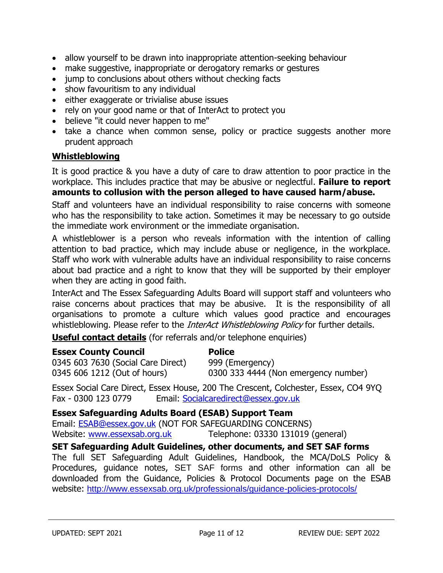- allow yourself to be drawn into inappropriate attention-seeking behaviour
- make suggestive, inappropriate or derogatory remarks or gestures
- jump to conclusions about others without checking facts
- show favouritism to any individual
- either exaggerate or trivialise abuse issues
- rely on your good name or that of InterAct to protect you
- believe "it could never happen to me"
- take a chance when common sense, policy or practice suggests another more prudent approach

#### **Whistleblowing**

It is good practice & you have a duty of care to draw attention to poor practice in the workplace. This includes practice that may be abusive or neglectful. **Failure to report amounts to collusion with the person alleged to have caused harm/abuse.**

Staff and volunteers have an individual responsibility to raise concerns with someone who has the responsibility to take action. Sometimes it may be necessary to go outside the immediate work environment or the immediate organisation.

A whistleblower is a person who reveals information with the intention of calling attention to bad practice, which may include abuse or negligence, in the workplace. Staff who work with vulnerable adults have an individual responsibility to raise concerns about bad practice and a right to know that they will be supported by their employer when they are acting in good faith.

InterAct and The Essex Safeguarding Adults Board will support staff and volunteers who raise concerns about practices that may be abusive. It is the responsibility of all organisations to promote a culture which values good practice and encourages whistleblowing. Please refer to the *InterAct Whistleblowing Policy* for further details.

**Useful contact details** (for referrals and/or telephone enquiries)

#### **Essex County Council <b>Police**

0345 603 7630 (Social Care Direct) 999 (Emergency)

0345 606 1212 (Out of hours) 0300 333 4444 (Non emergency number)

Essex Social Care Direct, Essex House, 200 The Crescent, Colchester, Essex, CO4 9YQ Fax - 0300 123 0779 Email: [Socialcaredirect@essex.gov.uk](mailto:Socialcaredirect@essex.gov.uk)

#### **Essex Safeguarding Adults Board (ESAB) Support Team**

Email: [ESAB@essex.gov.uk](mailto:ESAB@essex.gov.uk) (NOT FOR SAFEGUARDING CONCERNS) Website: [www.essexsab.org.uk](http://www.essexsab.org.uk/) Telephone: 03330 131019 (general)

#### **SET Safeguarding Adult Guidelines, other documents, and SET SAF forms**

The full SET Safeguarding Adult Guidelines, Handbook, the MCA/DoLS Policy & Procedures, guidance notes, SET SAF forms and other information can all be downloaded from the Guidance, Policies & Protocol Documents page on the ESAB website: <http://www.essexsab.org.uk/professionals/guidance-policies-protocols/>